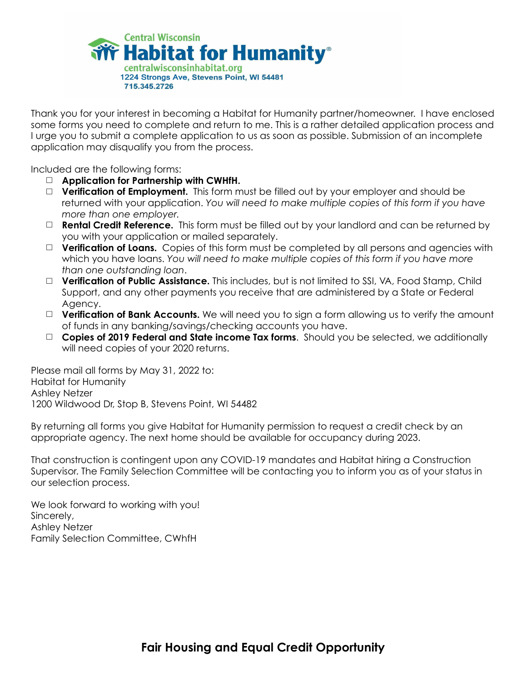

Thank you for your interest in becoming a Habitat for Humanity partner/homeowner. I have enclosed some forms you need to complete and return to me. This is a rather detailed application process and I urge you to submit a complete application to us as soon as possible. Submission of an incomplete application may disqualify you from the process.

Included are the following forms:

- □ **Application for Partnership with CWHfH.**
- □ **Verification of Employment.** This form must be filled out by your employer and should be returned with your application. *You will need to make multiple copies of this form if you have more than one employer.*
- □ **Rental Credit Reference.** This form must be filled out by your landlord and can be returned by you with your application or mailed separately.
- □ **Verification of Loans.** Copies of this form must be completed by all persons and agencies with which you have loans. *You will need to make multiple copies of this form if you have more than one outstanding loan*.
- □ **Verification of Public Assistance.** This includes, but is not limited to SSI, VA, Food Stamp, Child Support, and any other payments you receive that are administered by a State or Federal Agency.
- □ **Verification of Bank Accounts.** We will need you to sign a form allowing us to verify the amount of funds in any banking/savings/checking accounts you have.
- □ **Copies of 2019 Federal and State income Tax forms**. Should you be selected, we additionally will need copies of your 2020 returns.

Please mail all forms by May 31, 2022 to: Habitat for Humanity Ashley Netzer 1200 Wildwood Dr, Stop B, Stevens Point, WI 54482

By returning all forms you give Habitat for Humanity permission to request a credit check by an appropriate agency. The next home should be available for occupancy during 2023.

That construction is contingent upon any COVID-19 mandates and Habitat hiring a Construction Supervisor. The Family Selection Committee will be contacting you to inform you as of your status in our selection process.

We look forward to working with you! Sincerely, Ashley Netzer Family Selection Committee, CWhfH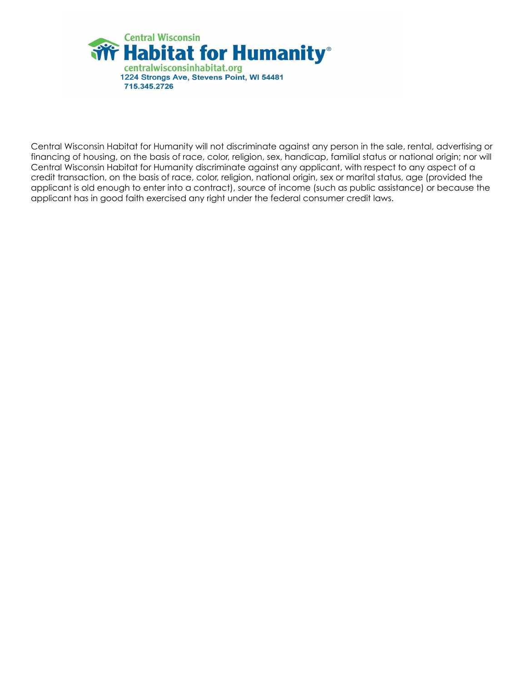

Central Wisconsin Habitat for Humanity will not discriminate against any person in the sale, rental, advertising or financing of housing, on the basis of race, color, religion, sex, handicap, familial status or national origin; nor will Central Wisconsin Habitat for Humanity discriminate against any applicant, with respect to any aspect of a credit transaction, on the basis of race, color, religion, national origin, sex or marital status, age (provided the applicant is old enough to enter into a contract), source of income (such as public assistance) or because the applicant has in good faith exercised any right under the federal consumer credit laws.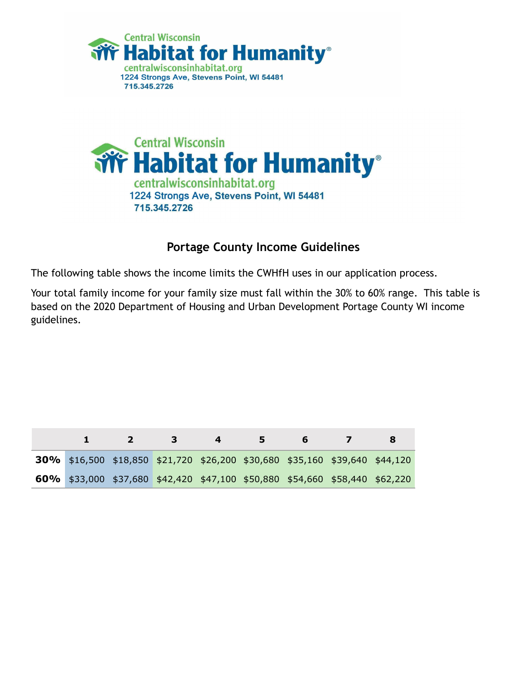



### **Portage County Income Guidelines**

The following table shows the income limits the CWHfH uses in our application process.

Your total family income for your family size must fall within the 30% to 60% range. This table is based on the 2020 Department of Housing and Urban Development Portage County WI income guidelines.

|                                                                             | $\mathbf{2}$ | 3 | $\sim$ $\sim$ | 5. | 6. |  |
|-----------------------------------------------------------------------------|--------------|---|---------------|----|----|--|
| 30% \$16,500 \$18,850 \$21,720 \$26,200 \$30,680 \$35,160 \$39,640 \$44,120 |              |   |               |    |    |  |
| 60% \$33,000 \$37,680 \$42,420 \$47,100 \$50,880 \$54,660 \$58,440 \$62,220 |              |   |               |    |    |  |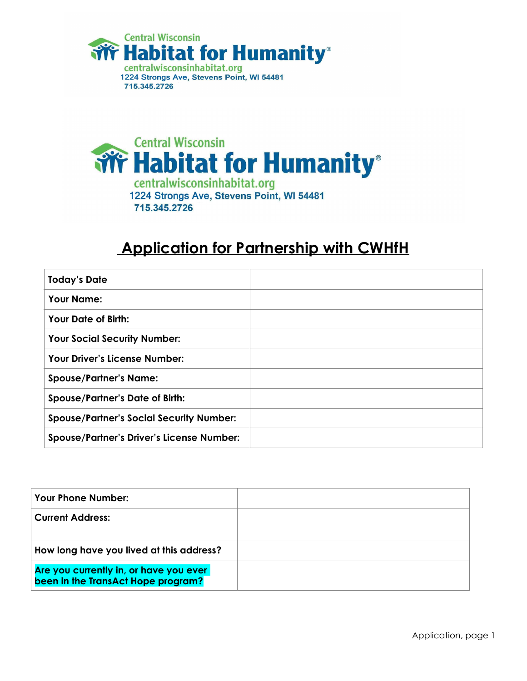



### **Application for Partnership with CWHfH**

| <b>Today's Date</b>                              |  |
|--------------------------------------------------|--|
| <b>Your Name:</b>                                |  |
| <b>Your Date of Birth:</b>                       |  |
| <b>Your Social Security Number:</b>              |  |
| <b>Your Driver's License Number:</b>             |  |
| <b>Spouse/Partner's Name:</b>                    |  |
| <b>Spouse/Partner's Date of Birth:</b>           |  |
| <b>Spouse/Partner's Social Security Number:</b>  |  |
| <b>Spouse/Partner's Driver's License Number:</b> |  |

| <b>Your Phone Number:</b>                                                    |  |
|------------------------------------------------------------------------------|--|
| <b>Current Address:</b>                                                      |  |
| How long have you lived at this address?                                     |  |
| Are you currently in, or have you ever<br>been in the TransAct Hope program? |  |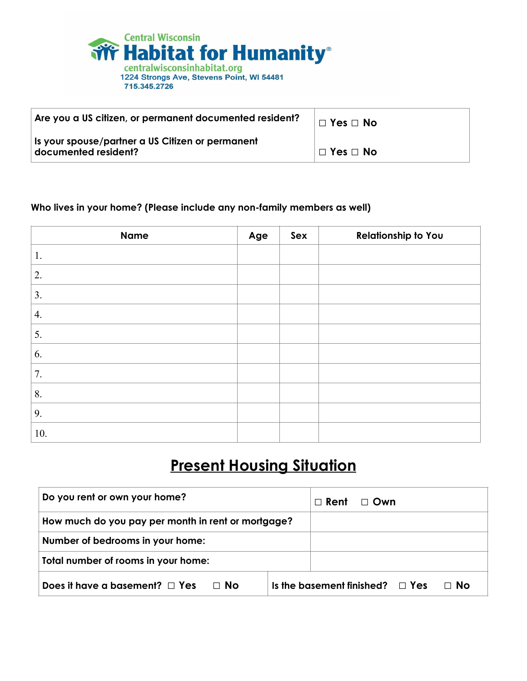

715.345.2726

| Are you a US citizen, or permanent documented resident?                  | $\Box$ Yes $\Box$ No |
|--------------------------------------------------------------------------|----------------------|
| Is your spouse/partner a US Citizen or permanent<br>documented resident? | $\Box$ Yes $\Box$ No |

#### **Who lives in your home? (Please include any non-family members as well)**

| <b>Name</b> | Age | Sex | <b>Relationship to You</b> |
|-------------|-----|-----|----------------------------|
| 1.          |     |     |                            |
| 2.          |     |     |                            |
| 3.          |     |     |                            |
| 4.          |     |     |                            |
| 5.          |     |     |                            |
| 6.          |     |     |                            |
| 7.          |     |     |                            |
| 8.          |     |     |                            |
| 9.          |     |     |                            |
| 10.         |     |     |                            |

## **Present Housing Situation**

| Do you rent or own your home?                      | $\Box$ Rent<br>$\Box$ Own                    |
|----------------------------------------------------|----------------------------------------------|
| How much do you pay per month in rent or mortgage? |                                              |
| Number of bedrooms in your home:                   |                                              |
| Total number of rooms in your home:                |                                              |
| Does it have a basement? $\Box$ Yes<br>⊟ No        | ⊟ No<br>Is the basement finished? $\Box$ Yes |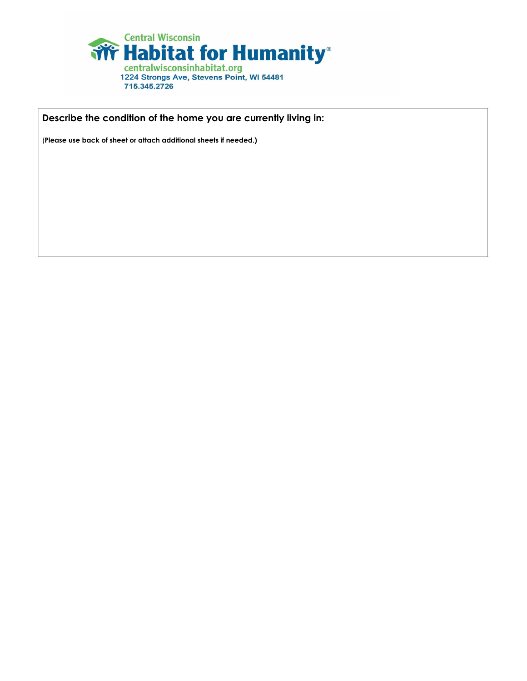

**Describe the condition of the home you are currently living in:** 

(**Please use back of sheet or attach additional sheets if needed.)**

715.345.2726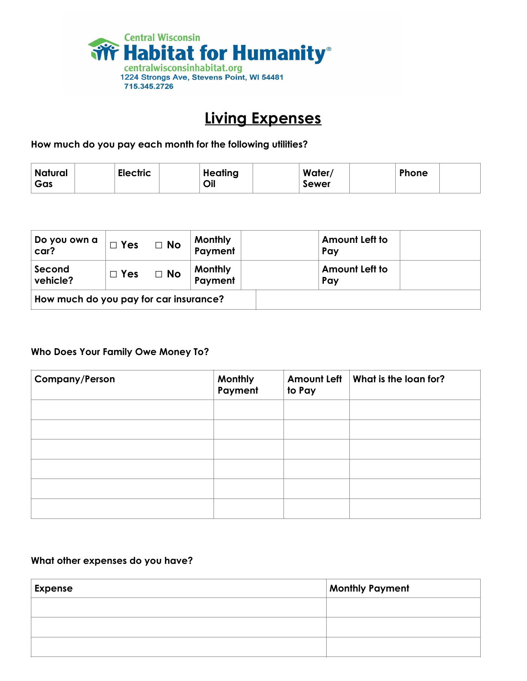

### **Living Expenses**

**How much do you pay each month for the following utilities?**

| Natural<br>Gas | <b>Electric</b> | <b>Heating</b><br>Oil | Water/<br>Sewer | Phone |  |
|----------------|-----------------|-----------------------|-----------------|-------|--|
|                |                 |                       |                 |       |  |

| Do you own a<br>car?                       | $\Box$ Yes | $\Box$ No | <b>Monthly</b><br>Payment | Amount Left to<br>Pay |
|--------------------------------------------|------------|-----------|---------------------------|-----------------------|
| Second<br>$\Box$ Yes $\Box$ No<br>vehicle? |            |           | <b>Monthly</b><br>Payment | Amount Left to<br>Pay |
| How much do you pay for car insurance?     |            |           |                           |                       |

#### **Who Does Your Family Owe Money To?**

| <b>Company/Person</b> | Monthly<br>Payment | <b>Amount Left</b><br>to Pay | What is the loan for? |
|-----------------------|--------------------|------------------------------|-----------------------|
|                       |                    |                              |                       |
|                       |                    |                              |                       |
|                       |                    |                              |                       |
|                       |                    |                              |                       |
|                       |                    |                              |                       |
|                       |                    |                              |                       |

#### **What other expenses do you have?**

| <b>Expense</b> | <b>Monthly Payment</b> |
|----------------|------------------------|
|                |                        |
|                |                        |
|                |                        |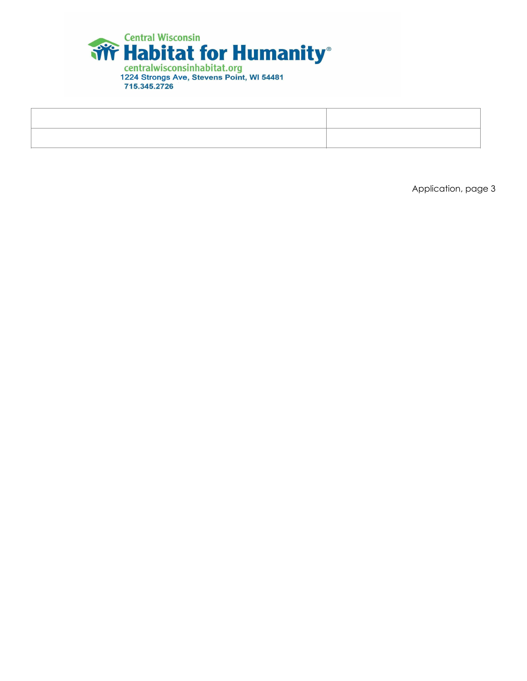

Application, page 3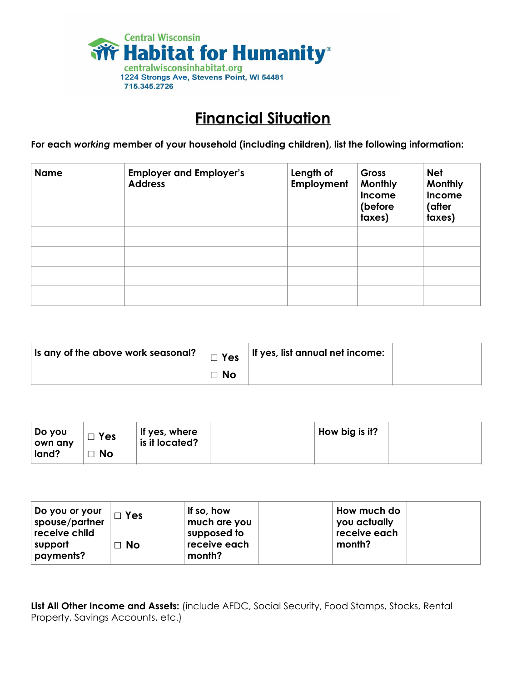

### **Financial Situation**

**For each** *working* **member of your household (including children), list the following information:**

| <b>Name</b> | <b>Employer and Employer's</b><br><b>Address</b> | Length of<br>Employment | Gross<br><b>Monthly</b><br><b>Income</b><br>(before<br>taxes) | <b>Net</b><br>Monthly<br>Income<br>(after<br>taxes) |
|-------------|--------------------------------------------------|-------------------------|---------------------------------------------------------------|-----------------------------------------------------|
|             |                                                  |                         |                                                               |                                                     |
|             |                                                  |                         |                                                               |                                                     |
|             |                                                  |                         |                                                               |                                                     |
|             |                                                  |                         |                                                               |                                                     |

| , is any of the above work seasonal? $\parallel$ $\Box$ Yes $\parallel$ It $\,$ |           | If yes, list annual net income: |  |
|---------------------------------------------------------------------------------|-----------|---------------------------------|--|
|                                                                                 | $\Box$ No |                                 |  |

| Do you<br>own any | $\Box$ Yes | If yes, where<br>is it located? | How big is it? |  |
|-------------------|------------|---------------------------------|----------------|--|
| land?             | <b>No</b>  |                                 |                |  |

| Do you or your<br>spouse/partner<br>receive child | $\Box$ Yes | If so, how<br>much are you<br>supposed to | How much do<br>you actually<br>receive each |  |
|---------------------------------------------------|------------|-------------------------------------------|---------------------------------------------|--|
| support<br>payments?                              | $\Box$ No  | receive each<br>month?                    | month?                                      |  |

**List All Other Income and Assets:** (include AFDC, Social Security, Food Stamps, Stocks, Rental Property, Savings Accounts, etc.)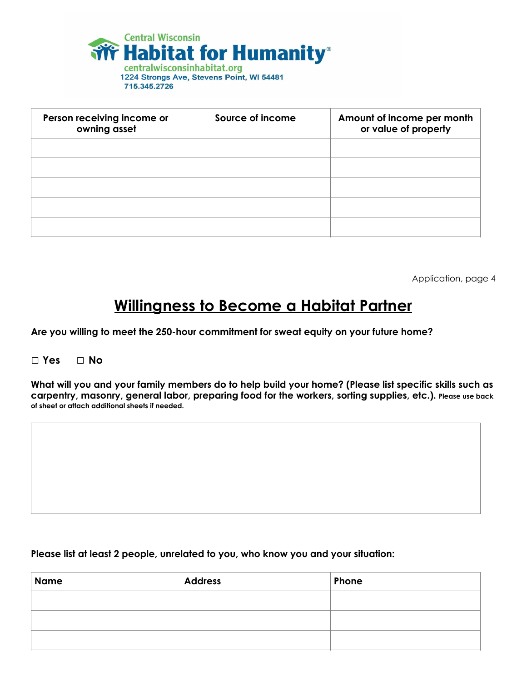

715.345.2726

| Person receiving income or<br>owning asset | Source of income | Amount of income per month<br>or value of property |
|--------------------------------------------|------------------|----------------------------------------------------|
|                                            |                  |                                                    |
|                                            |                  |                                                    |
|                                            |                  |                                                    |
|                                            |                  |                                                    |
|                                            |                  |                                                    |

Application, page 4

### **Willingness to Become a Habitat Partner**

**Are you willing to meet the 250-hour commitment for sweat equity on your future home?** 

#### **□ Yes □ No**

**What will you and your family members do to help build your home? (Please list specific skills such as carpentry, masonry, general labor, preparing food for the workers, sorting supplies, etc.). Please use back of sheet or attach additional sheets if needed.**

#### **Please list at least 2 people, unrelated to you, who know you and your situation:**

| <b>Name</b> | Address | Phone |
|-------------|---------|-------|
|             |         |       |
|             |         |       |
|             |         |       |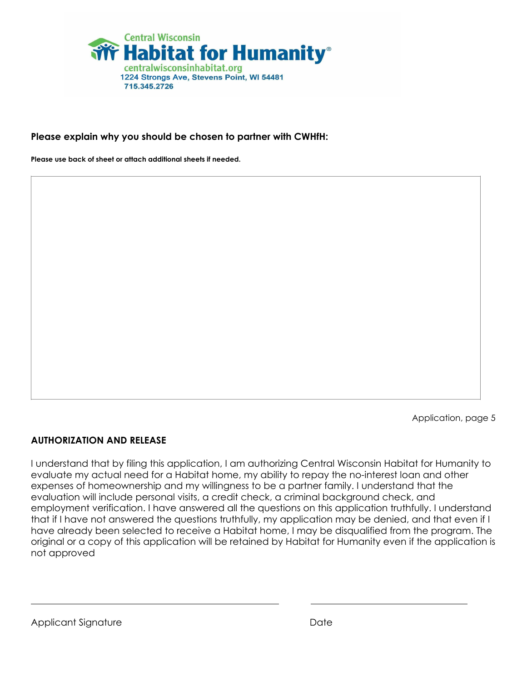

#### **Please explain why you should be chosen to partner with CWHfH:**

**Please use back of sheet or attach additional sheets if needed.**

Application, page 5

#### **AUTHORIZATION AND RELEASE**

I understand that by filing this application, I am authorizing Central Wisconsin Habitat for Humanity to evaluate my actual need for a Habitat home, my ability to repay the no-interest loan and other expenses of homeownership and my willingness to be a partner family. I understand that the evaluation will include personal visits, a credit check, a criminal background check, and employment verification. I have answered all the questions on this application truthfully. I understand that if I have not answered the questions truthfully, my application may be denied, and that even if I have already been selected to receive a Habitat home, I may be disqualified from the program. The original or a copy of this application will be retained by Habitat for Humanity even if the application is not approved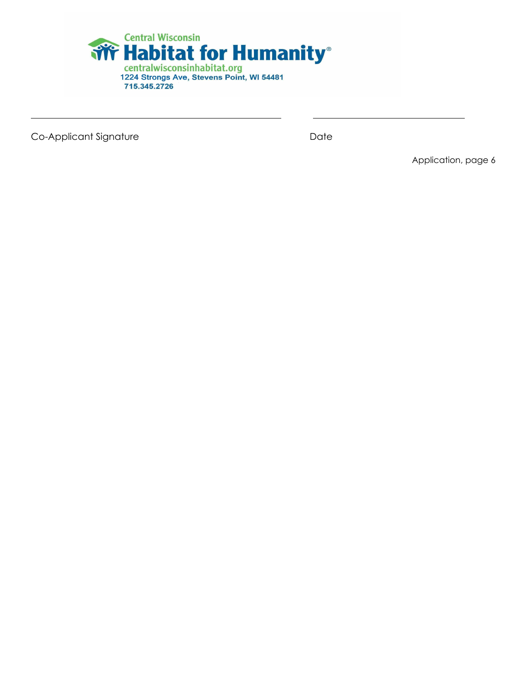

 $\mathbf{r} = \mathbf{r} \cdot \mathbf{r}$  ,  $\mathbf{r} = \mathbf{r} \cdot \mathbf{r}$  ,  $\mathbf{r} = \mathbf{r} \cdot \mathbf{r}$  ,  $\mathbf{r} = \mathbf{r} \cdot \mathbf{r}$  ,  $\mathbf{r} = \mathbf{r} \cdot \mathbf{r}$  ,  $\mathbf{r} = \mathbf{r} \cdot \mathbf{r}$  ,  $\mathbf{r} = \mathbf{r} \cdot \mathbf{r}$  ,  $\mathbf{r} = \mathbf{r} \cdot \mathbf{r}$  ,  $\mathbf{r} = \mathbf{r$ 

Co-Applicant Signature **Date** 

Application, page 6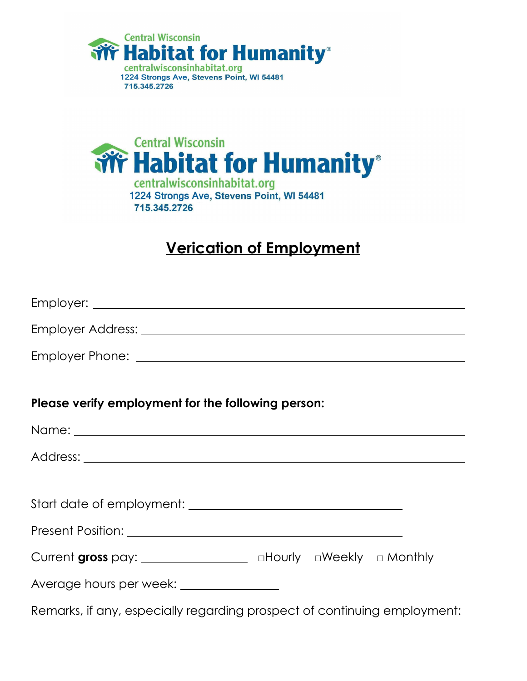



### **Verication of Employment**

| Please verify employment for the following person:                       |  |  |
|--------------------------------------------------------------------------|--|--|
|                                                                          |  |  |
|                                                                          |  |  |
|                                                                          |  |  |
|                                                                          |  |  |
|                                                                          |  |  |
| Current gross pay: ____________________ aHourly aWeekly a Monthly        |  |  |
| Average hours per week: _______________                                  |  |  |
| Remarks, if any, especially regarding prospect of continuing employment: |  |  |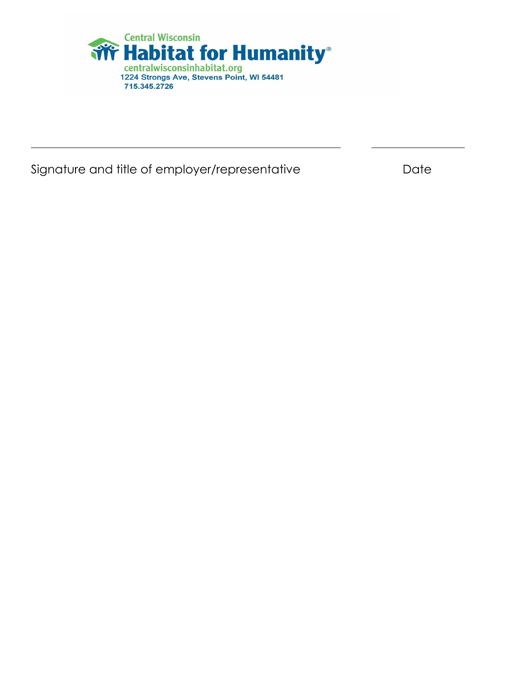

Signature and title of employer/representative **Signature** and title of employer/representative

 $\overline{a}$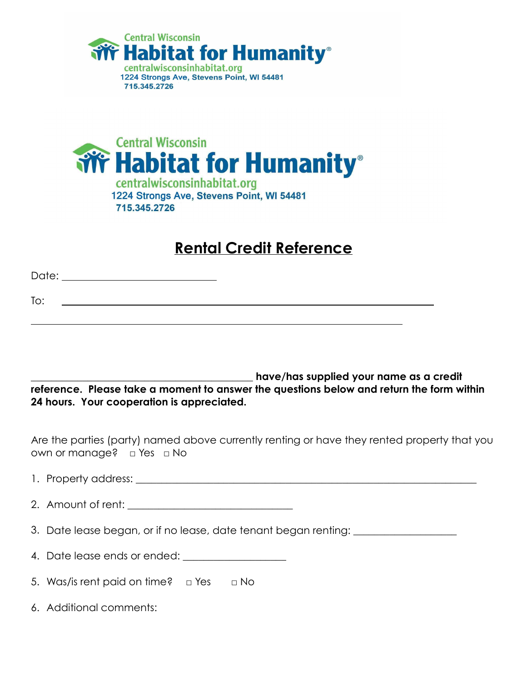



### **Rental Credit Reference**

| To: |  |  |
|-----|--|--|
|     |  |  |

**\_\_\_\_\_\_\_\_\_\_\_\_\_\_\_\_\_\_\_\_\_\_\_\_\_\_\_\_\_\_\_\_\_\_\_\_\_\_\_\_\_\_\_ have/has supplied your name as a credit reference. Please take a moment to answer the questions below and return the form within 24 hours. Your cooperation is appreciated.**

Are the parties (party) named above currently renting or have they rented property that you own or manage? □ Yes □ No

- 1. Property address: \_\_\_\_\_\_\_\_\_\_\_\_\_\_\_\_\_\_\_\_\_\_\_\_\_\_\_\_\_\_\_\_\_\_\_\_\_\_\_\_\_\_\_\_\_\_\_\_\_\_\_\_\_\_\_\_\_\_\_\_\_\_\_\_\_\_
- 2. Amount of rent:  $\blacksquare$
- 3. Date lease began, or if no lease, date tenant began renting:
- 4. Date lease ends or ended:
- 5. Was/is rent paid on time? □ Yes □ No
- 6. Additional comments: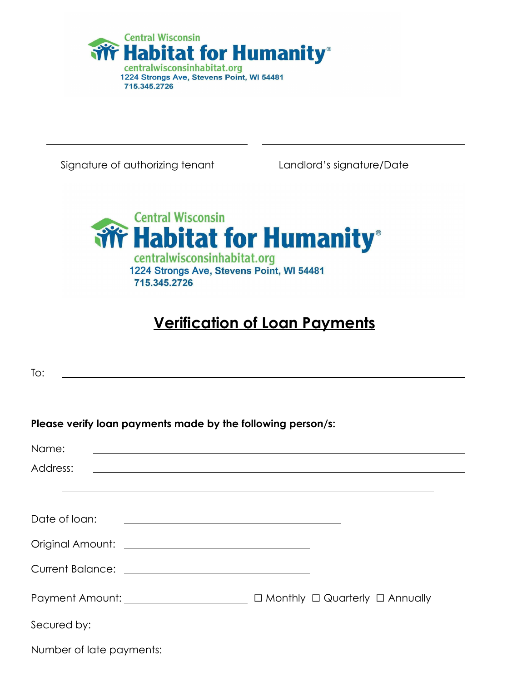

Signature of authorizing tenant Landlord's signature/Date

 $\overline{a}$ 



# **Verification of Loan Payments**

| To:                                                         |                                                                                                                        |
|-------------------------------------------------------------|------------------------------------------------------------------------------------------------------------------------|
| Please verify loan payments made by the following person/s: |                                                                                                                        |
| Name:                                                       | <u> 1989 - Johann Stoff, deutscher Stoffen und der Stoffen und der Stoffen und der Stoffen und der Stoffen und de</u>  |
| Address:                                                    | <u> 1989 - Johann Stoff, deutscher Stoffen und der Stoffen und der Stoffen und der Stoffen und der Stoffen und der</u> |
|                                                             | ,我们也不能在这里的时候,我们也不能在这里的时候,我们也不能不能不能不能不能不能不能不能不能不能不能不能。""我们的是我们的,我们也不能不能不能不能不能不能不能                                       |
| Date of loan:                                               | <u> 1989 - Andrea Andrew Maria (h. 1989).</u>                                                                          |
|                                                             |                                                                                                                        |
|                                                             |                                                                                                                        |
|                                                             | Payment Amount: __________________________ □ Monthly □ Quarterly □ Annually                                            |
| Secured by:                                                 | <u> 1980 - Andrea Barbara, amerikana amerikana amerikana amerikana amerikana amerikana amerikana amerikana amerika</u> |
| Number of late payments:                                    |                                                                                                                        |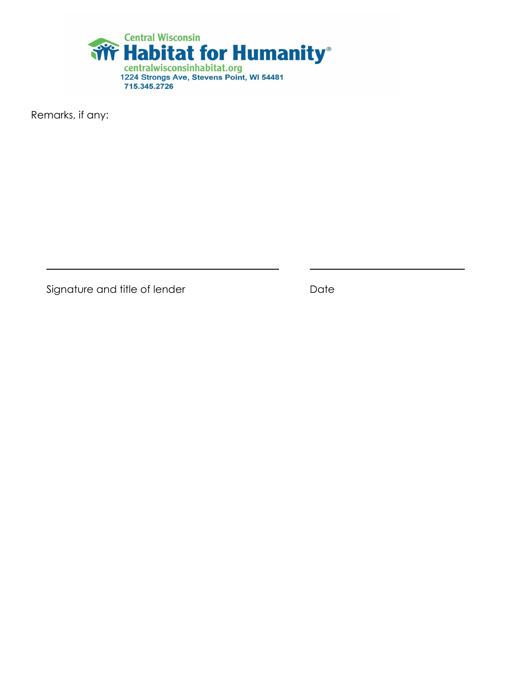

Remarks, if any:

 $\overline{a}$ 

Signature and title of lender **Signature and title of lender Bulgary Date**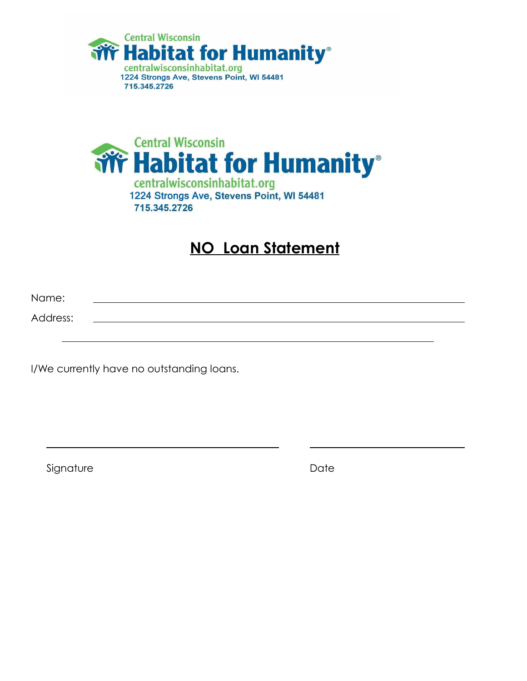



### **NO Loan Statement**

Name:

Address:

 $\overline{a}$ 

I/We currently have no outstanding loans.

Signature Date Date Date

 $\overline{a}$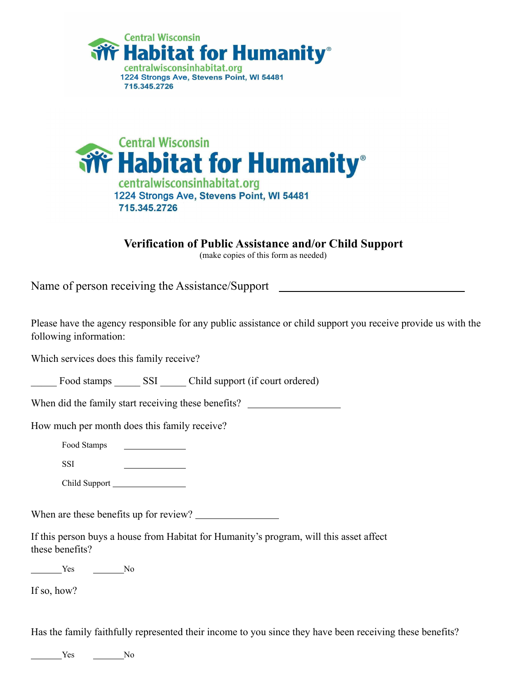



**Verification of Public Assistance and/or Child Support** 

(make copies of this form as needed)

Name of person receiving the Assistance/Support

Please have the agency responsible for any public assistance or child support you receive provide us with the following information:

Which services does this family receive?

Food stamps SSI Child support (if court ordered)

When did the family start receiving these benefits?

How much per month does this family receive?

- Food Stamps
- SSI

Child Support

When are these benefits up for review?

If this person buys a house from Habitat for Humanity's program, will this asset affect these benefits?

Yes No

If so, how?

Has the family faithfully represented their income to you since they have been receiving these benefits?

No No No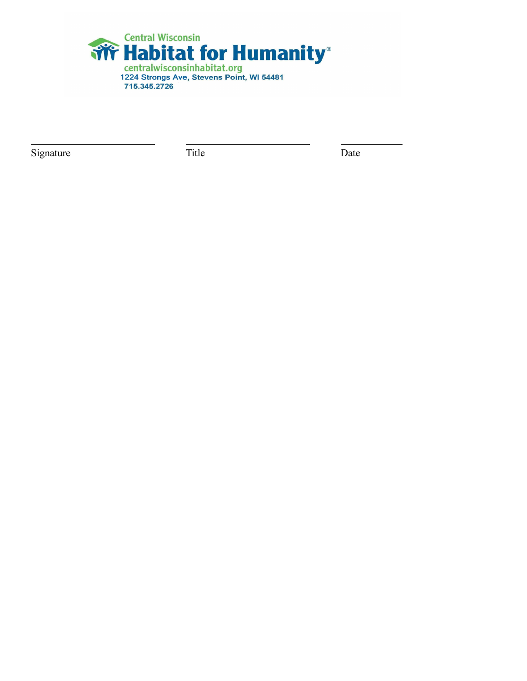

Signature Date Title Date

l,